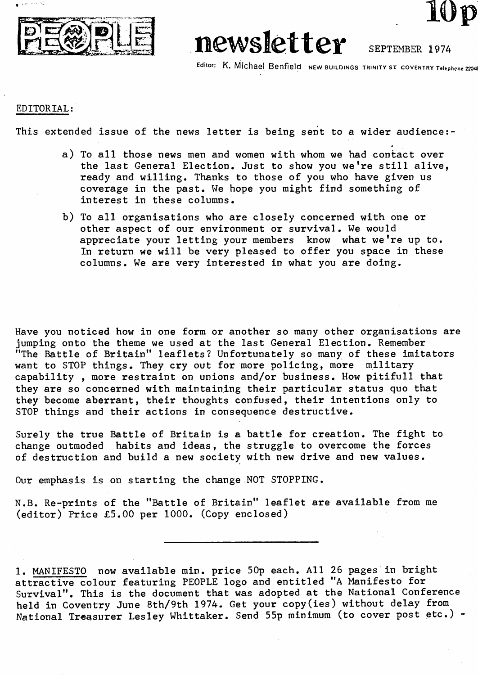

## newsletter

Editor: K. Michael Benfield NEW BUILDINGS TRINITY ST COVENTRY Telephone 22048

*10p*

SEPTEMBER 1974

## EDITORIAL:

This extended issue of the news letter is being sent to a wider audience:-

- a) To all those news men and women with whom we had contact over the last General Election. Just to show you we're still alive, ready and willing. Thanks to those of you who have given us coverage in the past. We hope you might find something of interest in these columns.
- b) To all organisations who are closely concerned with one or other aspect of our environment or survival. We would appreciate your letting your members know what we're up to. In return we will be very pleased to offer you space in these columns. We are very interested in what you are doing.

Have you noticed how in one form or another so many other organisations are jumping onto the theme we used at the last General Election. Remember "The Battle of Britain" leaflets? Unfortunately so many of these imitators want to STOP things. They cry out for more policing, more military capability , more restraint on unions and/or business. How pitifull that they are so concerned with maintaining their particular status quo that they become aberrant, their thoughts confused, their intentions only to STOP things and their actions in consequence destructive.

Surely the true Battle of Britain is a battle for creation. The fight to change outmoded habits and ideas, the struggle to overcome the forces of destruction and build a new society with new drive and new values.

Our emphasis is on starting the change NOT STOPPING.

N.B. Re-prints of the "Battle of Britain" leaflet are available from me (editor) Price £5.00 per 1000. (Copy enclosed)

1. MANIFESTO now available min. price 50p each. All 26 pages in bright attractive colour featuring PEOPLE logo and entitled "A Manifesto for Survival". This is the document that was adopted at the National Conference held in Coventry June 8th/9th 1974. Get your copy(ies) without delay from National Treasurer Lesley Whittaker. Send 55p minimum (to cover post etc.) -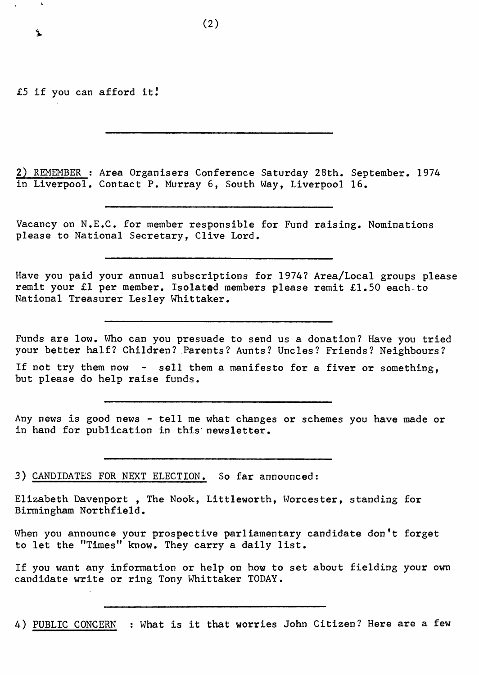£5 if you can afford it J

፝ጜ

2) REMEMBER ; Area Organisers Conference Saturday 28th. September. 1974 in Liverpool. Contact P. Murray 6, South Way, Liverpool 16.

Vacancy on N.E.C. for member responsible for Fund raising. Nominations please to National Secretary, Clive Lord.

Have you paid your annual subscriptions for 1974? Area/Local groups please remit your £1 per member. Isolated members please remit £1.50 each.to National Treasurer Lesley Whittaker.

Funds are low. Who can you presuade to send us a donation? Have you tried your better half? Children? Parents? Aunts? Uncles? Friends? Neighbours?

If not try them now - sell them a manifesto for a fiver or something, but please do help raise funds.

Any news is good news - tell me what changes or schemes you have made or in hand for publication in this' newsletter.

3) CANDIDATES FOR NEXT ELECTION. So far announced:

Elizabeth Davenport , The Nook, Littleworth, Worcester, standing for Birmingham Northfield.

When you announce your prospective parliamentary candidate don't forget to let the "Times" know. They carry a daily list.

If you want any information or help on how to set about fielding your own candidate write or ring Tony Whittaker TODAY.

4) PUBLIC CONCERN : What is it that worries John Citizen? Here are a few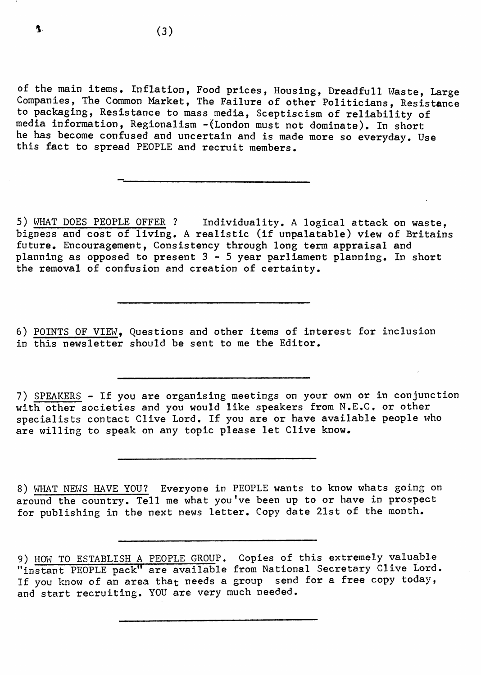of the main items. Inflation, Food prices, Housing, Dreadfull Waste, Large Companies, The Common Market, The Failure of other Politicians, Resistance to packaging, Resistance to mass media, Sceptiscism of reliability of media information, Regionalism -(London must not dominate). In short he has become confused and uncertain and is made more so everyday. Use this fact to spread PEOPLE and recruit members.

5) WHAT DOES PEOPLE OFFER ? Individuality. A logical attack on waste, bigness and cost of living. A realistic (if unpalatable) view of Britains future. Encouragement, Consistency through long term appraisal and planning as opposed to present 3-5 year parliament planning. In short the removal of confusion and creation of certainty.

6) POINTS OF VIEW, Questions and other items of interest for inclusion in this newsletter should be sent to me the Editor.

7) SPEAKERS - If you are organising meetings on your own or in conjunction with other societies and you would like speakers from N.E.C. or other specialists contact Clive Lord. If you are or have available people who are willing to speak on any topic please let Clive know.

8) WHAT NEWS HAVE YOU? Everyone in PEOPLE wants to know whats going on around the country. Tell me what you've been up to or have in prospect for publishing in the next news letter. Copy date 21st of the month.

<sup>9)</sup> HOW TO ESTABLISH A PEOPLE GROUP. Copies of this extremely valuable "instant PEOPLE pack" are available from National Secretary Clive Lord. If you know of an area that needs a group send for a free copy today, and start recruiting. YOU are very much needed.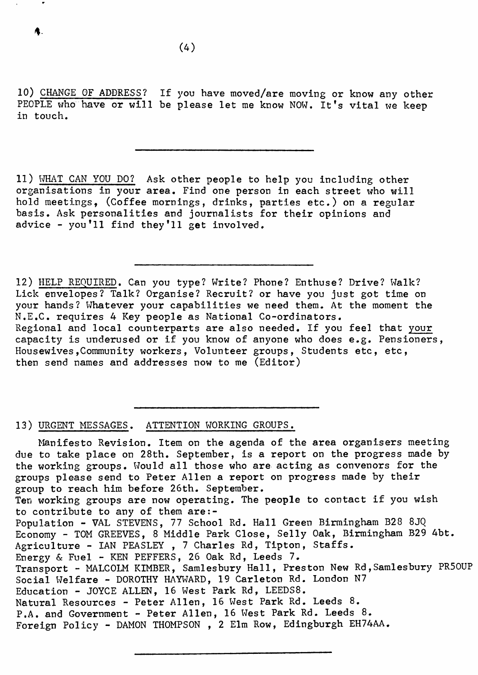$(4)$ 

10) CHANGE OF ADDRESS? If you have moved/are moving or know any other PEOPLE who have or will be please let me know NOW. It's vital we keep in touch.

11) WHAT CAN YOU DO? Ask other people to help you including other organisations in your area. Find one person in each street who will hold meetings, (Coffee mornings, drinks, parties etc.) on a regular basis. Ask personalities and journalists for their opinions and advice - you'll find they'll get involved.

12) HELP REQUIRED. Can you type? Write? Phone? Enthuse? Drive? Walk? Lick envelopes? Talk? Organise? Recruit? or have you just got time on your hands? Whatever your capabilities we need them. At the moment the N.E.C. requires 4 Key people as National Co-ordinators. Regional and local counterparts are also needed. If you feel that your capacity is underused or if you know of anyone who does e.g. Pensioners, Housewives,Community workers, Volunteer groups, Students etc, etc, then send names and addresses now to me (Editor)

13) URGENT MESSAGES. ATTENTION WORKING GROUPS.

Manifesto Revision. Item on the agenda of the area organisers meeting due to take place on 28th. September, is a report on the progress made by the working groups. Would all those who are acting as convenors for the groups please send to Peter Allen a report on progress made by their group to reach him before 26th. September. Ten working groups are now operating. The people to contact if you wish to contribute to any of them are:- Population - VAL STEVENS, 77 School Rd. Hall Green Birmingham B28 8JQ Economy - TOM GREEVES, 8 Middle Park Close, Selly Oak, Birmingham B29 4bt. Agriculture - IAN PEASLEY, 7 Charles Rd, Tipton, Staffs. Energy & Fuel - KEN PEFFERS, 26 Oak Rd, Leeds 7. Transport - MALCOLM KIMBER, Samlesbury Hall, Preston New Rd,Samlesbury PR50UP Social Welfare - DOROTHY HAYWARD, 19 Carleton Rd. London N7 Education - JOYCE ALLEN, 16 West Park Rd, LEEDS8. Natural Resources - Peter Allen, 16 West Park Rd. Leeds 8. P.A. and Government - Peter Allen, 16 West Park Rd. Leeds 8. Foreign Policy - DAMON THOMPSON , 2 Elm Row, Edingburgh EH74AA.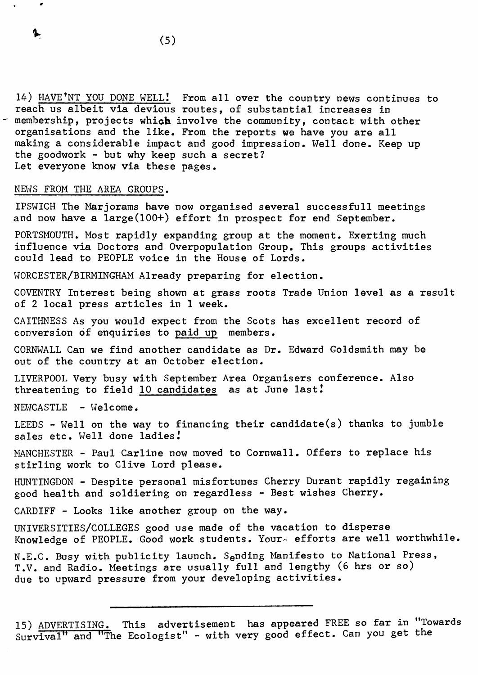14) HAVE'NT YOU DONE WELL.' From all over the country news continues to reach us albeit via devious routes, of substantial increases in membership, projects which involve the community, contact with other organisations and the like. From the reports we have you are all making a considerable impact and good impression. Well done. Keep up the goodwork - but why keep such a secret? Let everyone know via these pages.

## NEWS FROM THE AREA GROUPS.

IPSWICH The Marjorams have now organised several successfull meetings and now have a large(100+) effort in prospect for end September.

PORTSMOUTH. Most rapidly expanding group at the moment. Exerting much influence via Doctors and Overpopulation Group. This groups activities could lead to PEOPLE voice in the House of Lords.

WORCESTER/BIRMINGHAM Already preparing for election.

COVENTRY Interest being shown at grass roots Trade Union level as a result of 2 local press articles in 1 week.

CAITHNESS As you would expect from the Scots has excellent record of conversion of enquiries to paid up members.

CORNWALL Can we find another candidate as Dr. Edward Goldsmith may be out of the country at an October election.

LIVERPOOL Very busy with September Area Organisers conference. Also threatening to field 10 candidates as at June last *I*

NEWCASTLE - Welcome.

LEEDS - Well on the way to financing their candidate(s) thanks to jumble sales etc. Well done ladies!

MANCHESTER - Paul Carline now moved to Cornwall. Offers to replace his stirling work to Clive Lord please.

HUNTINGDON - Despite personal misfortunes Cherry Durant rapidly regaining good health and soldiering on regardless - Best wishes Cherry.

CARDIFF - Looks like another group on the way.

UNIVERSITIES/COLLEGES good use made of the vacation to disperse Knowledge of PEOPLE. Good work students. Your- efforts are well worthwhile.

N.E.C. Busy with publicity launch. Sending Manifesto to National Press, T.V. and Radio. Meetings are usually full and lengthy (6 hrs or so) due to upward pressure from your developing activities.

<sup>15)</sup> ADVERTISING. This advertisement has appeared FREE so far in "Towards Survival" and "The Ecologist" - with very good effect. Can you get the